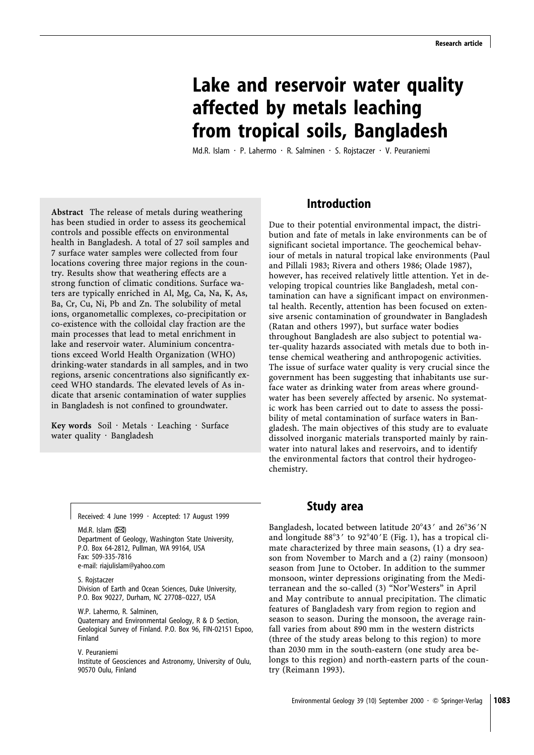# **Lake and reservoir water quality affected by metals leaching from tropical soils, Bangladesh**

Md.R. Islam · P. Lahermo · R. Salminen · S. Rojstaczer · V. Peuraniemi

**Abstract** The release of metals during weathering has been studied in order to assess its geochemical controls and possible effects on environmental health in Bangladesh. A total of 27 soil samples and 7 surface water samples were collected from four locations covering three major regions in the country. Results show that weathering effects are a strong function of climatic conditions. Surface waters are typically enriched in Al, Mg, Ca, Na, K, As, Ba, Cr, Cu, Ni, Pb and Zn. The solubility of metal ions, organometallic complexes, co-precipitation or co-existence with the colloidal clay fraction are the main processes that lead to metal enrichment in lake and reservoir water. Aluminium concentrations exceed World Health Organization (WHO) drinking-water standards in all samples, and in two regions, arsenic concentrations also significantly exceed WHO standards. The elevated levels of As indicate that arsenic contamination of water supplies in Bangladesh is not confined to groundwater.

Key words Soil · Metals · Leaching · Surface water quality  $\cdot$  Bangladesh

## **Introduction**

Due to their potential environmental impact, the distribution and fate of metals in lake environments can be of significant societal importance. The geochemical behaviour of metals in natural tropical lake environments (Paul and Pillali 1983; Rivera and others 1986; Olade 1987), however, has received relatively little attention. Yet in developing tropical countries like Bangladesh, metal contamination can have a significant impact on environmental health. Recently, attention has been focused on extensive arsenic contamination of groundwater in Bangladesh (Ratan and others 1997), but surface water bodies throughout Bangladesh are also subject to potential water-quality hazards associated with metals due to both intense chemical weathering and anthropogenic activities. The issue of surface water quality is very crucial since the government has been suggesting that inhabitants use surface water as drinking water from areas where groundwater has been severely affected by arsenic. No systematic work has been carried out to date to assess the possibility of metal contamination of surface waters in Bangladesh. The main objectives of this study are to evaluate dissolved inorganic materials transported mainly by rainwater into natural lakes and reservoirs, and to identify the environmental factors that control their hydrogeochemistry.

Received: 4 June 1999 · Accepted: 17 August 1999

Md.R. Islam  $(\boxtimes)$ Department of Geology, Washington State University, P.O. Box 64-2812, Pullman, WA 99164, USA Fax: 509-335-7816 e-mail: riajulislam@yahoo.com

S. Rojstaczer

Division of Earth and Ocean Sciences, Duke University, P.O. Box 90227, Durham, NC 27708–0227, USA

#### W.P. Lahermo, R. Salminen,

Quaternary and Environmental Geology, R & D Section, Geological Survey of Finland. P.O. Box 96, FIN-02151 Espoo, Finland

#### V. Peuraniemi

Institute of Geosciences and Astronomy, University of Oulu, 90570 Oulu, Finland

### **Study area**

Bangladesh, located between latitude 20°43' and 26°36'N and longitude  $88°3'$  to  $92°40'E$  (Fig. 1), has a tropical climate characterized by three main seasons, (1) a dry season from November to March and a (2) rainy (monsoon) season from June to October. In addition to the summer monsoon, winter depressions originating from the Mediterranean and the so-called (3) "Nor'Westers" in April and May contribute to annual precipitation. The climatic features of Bangladesh vary from region to region and season to season. During the monsoon, the average rainfall varies from about 890 mm in the western districts (three of the study areas belong to this region) to more than 2030 mm in the south-eastern (one study area belongs to this region) and north-eastern parts of the country (Reimann 1993).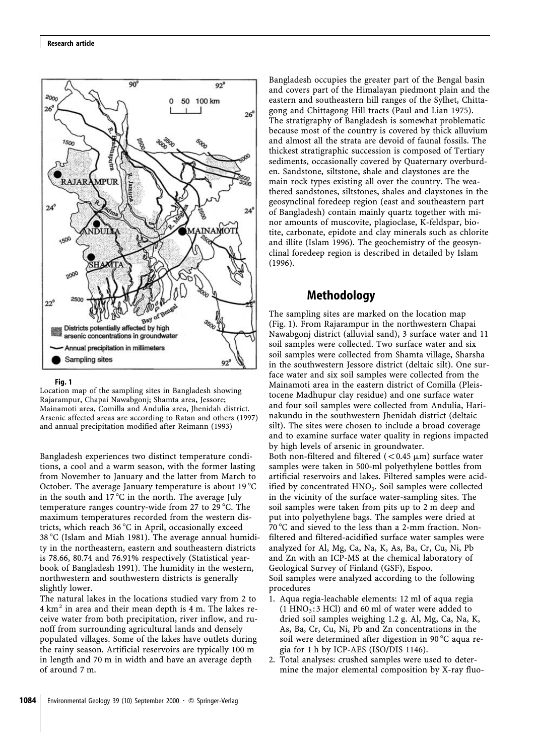

#### **Fig. 1**

Location map of the sampling sites in Bangladesh showing Rajarampur, Chapai Nawabgonj; Shamta area, Jessore; Mainamoti area, Comilla and Andulia area, Jhenidah district. Arsenic affected areas are according to Ratan and others (1997) and annual precipitation modified after Reimann (1993)

Bangladesh experiences two distinct temperature conditions, a cool and a warm season, with the former lasting from November to January and the latter from March to October. The average January temperature is about  $19^{\circ}$ C in the south and  $17^{\circ}$ C in the north. The average July temperature ranges country-wide from 27 to 29 °C. The maximum temperatures recorded from the western districts, which reach  $36^{\circ}$ C in April, occasionally exceed 38 7C (Islam and Miah 1981). The average annual humidity in the northeastern, eastern and southeastern districts is 78.66, 80.74 and 76.91% respectively (Statistical yearbook of Bangladesh 1991). The humidity in the western, northwestern and southwestern districts is generally slightly lower.

The natural lakes in the locations studied vary from 2 to 4 km2 in area and their mean depth is 4 m. The lakes receive water from both precipitation, river inflow, and runoff from surrounding agricultural lands and densely populated villages. Some of the lakes have outlets during the rainy season. Artificial reservoirs are typically 100 m in length and 70 m in width and have an average depth of around 7 m.

Bangladesh occupies the greater part of the Bengal basin and covers part of the Himalayan piedmont plain and the eastern and southeastern hill ranges of the Sylhet, Chittagong and Chittagong Hill tracts (Paul and Lian 1975). The stratigraphy of Bangladesh is somewhat problematic because most of the country is covered by thick alluvium and almost all the strata are devoid of faunal fossils. The thickest stratigraphic succession is composed of Tertiary sediments, occasionally covered by Quaternary overburden. Sandstone, siltstone, shale and claystones are the main rock types existing all over the country. The weathered sandstones, siltstones, shales and claystones in the geosynclinal foredeep region (east and southeastern part of Bangladesh) contain mainly quartz together with minor amounts of muscovite, plagioclase, K-feldspar, biotite, carbonate, epidote and clay minerals such as chlorite and illite (Islam 1996). The geochemistry of the geosynclinal foredeep region is described in detailed by Islam (1996).

# **Methodology**

The sampling sites are marked on the location map (Fig. 1). From Rajarampur in the northwestern Chapai Nawabgonj district (alluvial sand), 3 surface water and 11 soil samples were collected. Two surface water and six soil samples were collected from Shamta village, Sharsha in the southwestern Jessore district (deltaic silt). One surface water and six soil samples were collected from the Mainamoti area in the eastern district of Comilla (Pleistocene Madhupur clay residue) and one surface water and four soil samples were collected from Andulia, Harinakundu in the southwestern Jhenidah district (deltaic silt). The sites were chosen to include a broad coverage and to examine surface water quality in regions impacted by high levels of arsenic in groundwater. Both non-filtered and filtered  $(< 0.45 \mu m)$  surface water samples were taken in 500-ml polyethylene bottles from artificial reservoirs and lakes. Filtered samples were acidified by concentrated  $HNO<sub>3</sub>$ . Soil samples were collected in the vicinity of the surface water-sampling sites. The soil samples were taken from pits up to 2 m deep and put into polyethylene bags. The samples were dried at 70 °C and sieved to the less than a 2-mm fraction. Nonfiltered and filtered-acidified surface water samples were analyzed for Al, Mg, Ca, Na, K, As, Ba, Cr, Cu, Ni, Pb and Zn with an ICP-MS at the chemical laboratory of Geological Survey of Finland (GSF), Espoo. Soil samples were analyzed according to the following procedures

- 1. Aqua regia-leachable elements: 12 ml of aqua regia  $(1 HNO<sub>3</sub>:3 HCl)$  and 60 ml of water were added to dried soil samples weighing 1.2 g. Al, Mg, Ca, Na, K, As, Ba, Cr, Cu, Ni, Pb and Zn concentrations in the soil were determined after digestion in 90 °C aqua regia for 1 h by ICP-AES (ISO/DIS 1146).
- 2. Total analyses: crushed samples were used to determine the major elemental composition by X-ray fluo-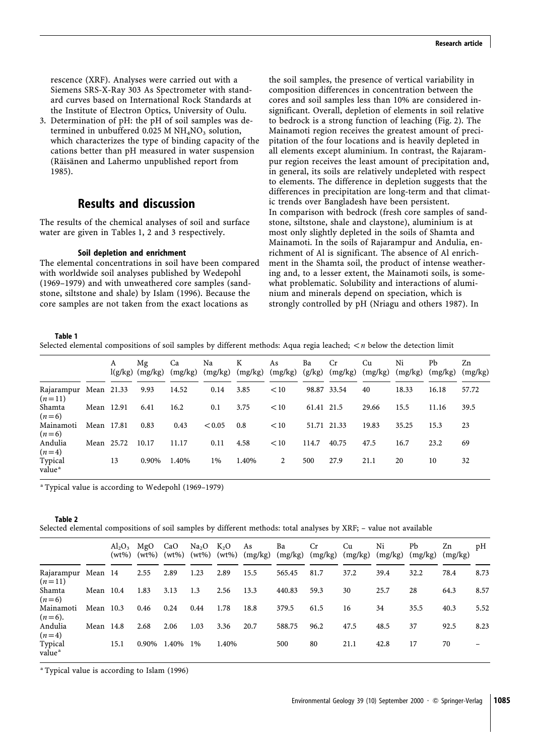rescence (XRF). Analyses were carried out with a Siemens SRS-X-Ray 303 As Spectrometer with standard curves based on International Rock Standards at the Institute of Electron Optics, University of Oulu.

3. Determination of pH: the pH of soil samples was determined in unbuffered  $0.025$  M NH<sub>4</sub>NO<sub>3</sub> solution, which characterizes the type of binding capacity of the cations better than pH measured in water suspension (Räisänen and Lahermo unpublished report from 1985).

# **Results and discussion**

The results of the chemical analyses of soil and surface water are given in Tables 1, 2 and 3 respectively.

#### **Soil depletion and enrichment**

The elemental concentrations in soil have been compared with worldwide soil analyses published by Wedepohl (1969–1979) and with unweathered core samples (sandstone, siltstone and shale) by Islam (1996). Because the core samples are not taken from the exact locations as

the soil samples, the presence of vertical variability in composition differences in concentration between the cores and soil samples less than 10% are considered insignificant. Overall, depletion of elements in soil relative to bedrock is a strong function of leaching (Fig. 2). The Mainamoti region receives the greatest amount of precipitation of the four locations and is heavily depleted in all elements except aluminium. In contrast, the Rajarampur region receives the least amount of precipitation and, in general, its soils are relatively undepleted with respect to elements. The difference in depletion suggests that the differences in precipitation are long-term and that climatic trends over Bangladesh have been persistent. In comparison with bedrock (fresh core samples of sandstone, siltstone, shale and claystone), aluminium is at most only slightly depleted in the soils of Shamta and Mainamoti. In the soils of Rajarampur and Andulia, enrichment of Al is significant. The absence of Al enrichment in the Shamta soil, the product of intense weathering and, to a lesser extent, the Mainamoti soils, is somewhat problematic. Solubility and interactions of aluminium and minerals depend on speciation, which is strongly controlled by pH (Nriagu and others 1987). In

**Table 1**

**Table 2**

Selected elemental compositions of soil samples by different methods: Aqua regia leached; ~*n* below the detection limit

|                               |            | A     | Mg<br>$l(g/kg)$ (mg/kg) | Ca<br>(mg/kg) | Na<br>(mg/kg) | K<br>(mg/kg) (mg/kg) | As   | Ba<br>(g/kg) | Cr<br>(mg/kg) | Cu<br>(mg/kg) | Ni<br>(mg/kg) | Pb<br>(mg/kg) | Zn<br>(mg/kg) |
|-------------------------------|------------|-------|-------------------------|---------------|---------------|----------------------|------|--------------|---------------|---------------|---------------|---------------|---------------|
| Rajarampur<br>$(n=11)$        | Mean 21.33 |       | 9.93                    | 14.52         | 0.14          | 3.85                 | < 10 |              | 98.87 33.54   | 40            | 18.33         | 16.18         | 57.72         |
| Shamta<br>$(n=6)$             | Mean       | 12.91 | 6.41                    | 16.2          | 0.1           | 3.75                 | < 10 | 61.41        | 21.5          | 29.66         | 15.5          | 11.16         | 39.5          |
| Mainamoti<br>$(n=6)$          | Mean 17.81 |       | 0.83                    | 0.43          | < 0.05        | 0.8                  | < 10 |              | 51.71 21.33   | 19.83         | 35.25         | 15.3          | 23            |
| Andulia<br>$(n=4)$            | Mean 25.72 |       | 10.17                   | 11.17         | 0.11          | 4.58                 | < 10 | 114.7        | 40.75         | 47.5          | 16.7          | 23.2          | 69            |
| Typical<br>value <sup>a</sup> |            | 13    | 0.90%                   | 1.40%         | 1%            | 1.40%                | 2    | 500          | 27.9          | 21.1          | 20            | 10            | 32            |

<sup>a</sup> Typical value is according to Wedepohl (1969–1979)

|  |  |  | Selected elemental compositions of soil samples by different methods: total analyses by XRF; – value not available |
|--|--|--|--------------------------------------------------------------------------------------------------------------------|
|  |  |  |                                                                                                                    |
|  |  |  |                                                                                                                    |
|  |  |  |                                                                                                                    |

|                                |             | $Al_2O_3$<br>$(wt\%)$ | MgO<br>$(wt\%)$ | CaO<br>$(wt\%)$ | Na <sub>2</sub> O<br>$(wt\%)$ | K <sub>2</sub> O<br>$(wt\%)$ | As<br>(mg/kg) | Ba<br>(mg/kg) | Cr<br>(mg/kg) | Cu<br>(mg/kg) | Ni<br>(mg/kg) | Pb<br>(mg/kg) | Zn<br>(mg/kg) | pH                       |
|--------------------------------|-------------|-----------------------|-----------------|-----------------|-------------------------------|------------------------------|---------------|---------------|---------------|---------------|---------------|---------------|---------------|--------------------------|
| Rajarampur Mean 14<br>$(n=11)$ |             |                       | 2.55            | 2.89            | 1.23                          | 2.89                         | 15.5          | 565.45        | 81.7          | 37.2          | 39.4          | 32.2          | 78.4          | 8.73                     |
| Shamta<br>$(n=6)$              | Mean 10.4   |                       | 1.83            | 3.13            | 1.3                           | 2.56                         | 13.3          | 440.83        | 59.3          | 30            | 25.7          | 28            | 64.3          | 8.57                     |
| Mainamoti<br>$(n=6)$ .         | Mean $10.3$ |                       | 0.46            | 0.24            | 0.44                          | 1.78                         | 18.8          | 379.5         | 61.5          | 16            | 34            | 35.5          | 40.3          | 5.52                     |
| Andulia<br>$(n=4)$             | Mean 14.8   |                       | 2.68            | 2.06            | 1.03                          | 3.36                         | 20.7          | 588.75        | 96.2          | 47.5          | 48.5          | 37            | 92.5          | 8.23                     |
| Typical<br>value <sup>a</sup>  |             | 15.1                  | 0.90%           | 1.40%           | 1%                            | 1.40%                        |               | 500           | 80            | 21.1          | 42.8          | 17            | 70            | $\overline{\phantom{0}}$ |

<sup>a</sup> Typical value is according to Islam (1996)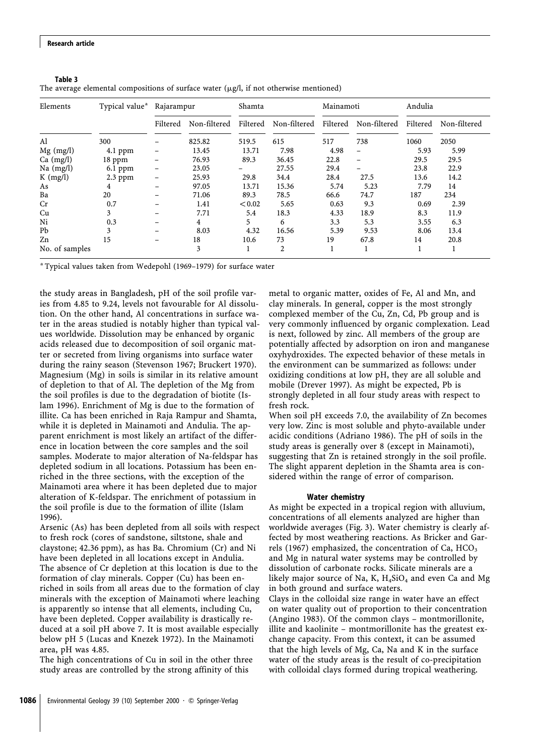#### **Research article**

**Table 3**

| Elements       | Typical value <sup>a</sup> | Rajarampur |              | Shamta |                                             | Mainamoti |      | Andulia |                       |  |
|----------------|----------------------------|------------|--------------|--------|---------------------------------------------|-----------|------|---------|-----------------------|--|
|                |                            | Filtered   | Non-filtered |        | Filtered Non-filtered Filtered Non-filtered |           |      |         | Filtered Non-filtered |  |
| Al             | 300                        |            | 825.82       | 519.5  | 615                                         | 517       | 738  | 1060    | 2050                  |  |
| $Mg$ (mg/l)    | 4.1 ppm                    |            | 13.45        | 13.71  | 7.98                                        | 4.98      |      | 5.93    | 5.99                  |  |
| $Ca \ (mg/l)$  | 18 ppm                     |            | 76.93        | 89.3   | 36.45                                       | 22.8      |      | 29.5    | 29.5                  |  |
| Na (mg/l)      | $6.1$ ppm                  |            | 23.05        |        | 27.55                                       | 29.4      |      | 23.8    | 22.9                  |  |
| $K$ (mg/l)     | $2.3$ ppm                  |            | 25.93        | 29.8   | 34.4                                        | 28.4      | 27.5 | 13.6    | 14.2                  |  |
| As             | 4                          |            | 97.05        | 13.71  | 15.36                                       | 5.74      | 5.23 | 7.79    | 14                    |  |
| Ba             | 20                         |            | 71.06        | 89.3   | 78.5                                        | 66.6      | 74.7 | 187     | 234                   |  |
| Cr             | 0.7                        |            | 1.41         | < 0.02 | 5.65                                        | 0.63      | 9.3  | 0.69    | 2.39                  |  |
| Cu             | 3                          |            | 7.71         | 5.4    | 18.3                                        | 4.33      | 18.9 | 8.3     | 11.9                  |  |
| Ni             | 0.3                        |            | 4            | 5      | 6                                           | 3.3       | 5.3  | 3.55    | 6.3                   |  |
| Pb             |                            |            | 8.03         | 4.32   | 16.56                                       | 5.39      | 9.53 | 8.06    | 13.4                  |  |
| Zn             | 15                         |            | 18           | 10.6   | 73                                          | 19        | 67.8 | 14      | 20.8                  |  |
| No. of samples |                            |            | 3            |        | 2                                           |           |      |         |                       |  |

| . <i>.</i> |                                                                                        |  |  |  |  |
|------------|----------------------------------------------------------------------------------------|--|--|--|--|
|            | The average elemental compositions of surface water (µg/l, if not otherwise mentioned) |  |  |  |  |

<sup>a</sup> Typical values taken from Wedepohl (1969–1979) for surface water

the study areas in Bangladesh, pH of the soil profile varies from 4.85 to 9.24, levels not favourable for Al dissolution. On the other hand, Al concentrations in surface water in the areas studied is notably higher than typical values worldwide. Dissolution may be enhanced by organic acids released due to decomposition of soil organic matter or secreted from living organisms into surface water during the rainy season (Stevenson 1967; Bruckert 1970). Magnesium (Mg) in soils is similar in its relative amount of depletion to that of Al. The depletion of the Mg from the soil profiles is due to the degradation of biotite (Islam 1996). Enrichment of Mg is due to the formation of illite. Ca has been enriched in Raja Rampur and Shamta, while it is depleted in Mainamoti and Andulia. The apparent enrichment is most likely an artifact of the difference in location between the core samples and the soil samples. Moderate to major alteration of Na-feldspar has depleted sodium in all locations. Potassium has been enriched in the three sections, with the exception of the Mainamoti area where it has been depleted due to major alteration of K-feldspar. The enrichment of potassium in the soil profile is due to the formation of illite (Islam 1996).

Arsenic (As) has been depleted from all soils with respect to fresh rock (cores of sandstone, siltstone, shale and claystone; 42.36 ppm), as has Ba. Chromium (Cr) and Ni have been depleted in all locations except in Andulia. The absence of Cr depletion at this location is due to the formation of clay minerals. Copper (Cu) has been enriched in soils from all areas due to the formation of clay minerals with the exception of Mainamoti where leaching is apparently so intense that all elements, including Cu, have been depleted. Copper availability is drastically reduced at a soil pH above 7. It is most available especially below pH 5 (Lucas and Knezek 1972). In the Mainamoti area, pH was 4.85.

The high concentrations of Cu in soil in the other three study areas are controlled by the strong affinity of this

metal to organic matter, oxides of Fe, Al and Mn, and clay minerals. In general, copper is the most strongly complexed member of the Cu, Zn, Cd, Pb group and is very commonly influenced by organic complexation. Lead is next, followed by zinc. All members of the group are potentially affected by adsorption on iron and manganese oxyhydroxides. The expected behavior of these metals in the environment can be summarized as follows: under oxidizing conditions at low pH, they are all soluble and mobile (Drever 1997). As might be expected, Pb is strongly depleted in all four study areas with respect to fresh rock.

When soil pH exceeds 7.0, the availability of Zn becomes very low. Zinc is most soluble and phyto-available under acidic conditions (Adriano 1986). The pH of soils in the study areas is generally over 8 (except in Mainamoti), suggesting that Zn is retained strongly in the soil profile. The slight apparent depletion in the Shamta area is considered within the range of error of comparison.

#### **Water chemistry**

As might be expected in a tropical region with alluvium, concentrations of all elements analyzed are higher than worldwide averages (Fig. 3). Water chemistry is clearly affected by most weathering reactions. As Bricker and Garrels (1967) emphasized, the concentration of Ca,  $HCO<sub>3</sub>$ and Mg in natural water systems may be controlled by dissolution of carbonate rocks. Silicate minerals are a likely major source of Na, K,  $H_4SiO_4$  and even Ca and Mg in both ground and surface waters.

Clays in the colloidal size range in water have an effect on water quality out of proportion to their concentration (Angino 1983). Of the common clays – montmorillonite, illite and kaolinite – montmorillonite has the greatest exchange capacity. From this context, it can be assumed that the high levels of Mg, Ca, Na and K in the surface water of the study areas is the result of co-precipitation with colloidal clays formed during tropical weathering.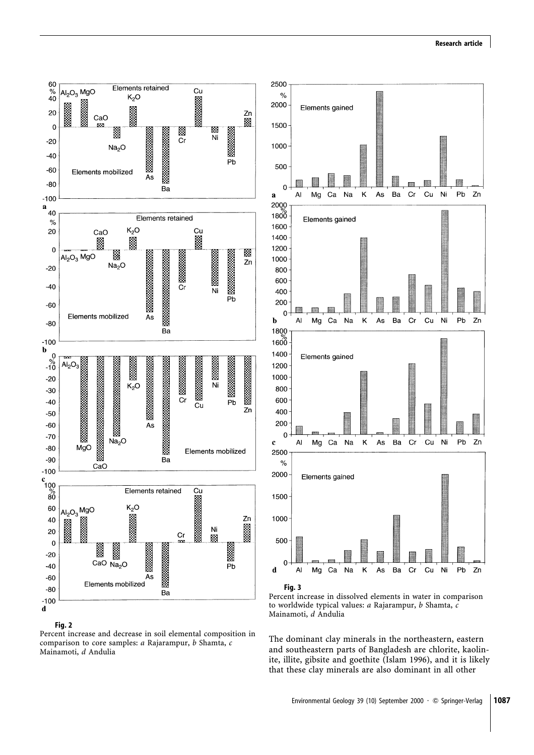

#### **Fig. 2**

Percent increase and decrease in soil elemental composition in comparison to core samples: *a* Rajarampur, *b* Shamta, *c* Mainamoti, *d* Andulia



#### **Fig. 3**

Percent increase in dissolved elements in water in comparison to worldwide typical values: *a* Rajarampur, *b* Shamta, *c* Mainamoti, *d* Andulia

The dominant clay minerals in the northeastern, eastern and southeastern parts of Bangladesh are chlorite, kaolinite, illite, gibsite and goethite (Islam 1996), and it is likely that these clay minerals are also dominant in all other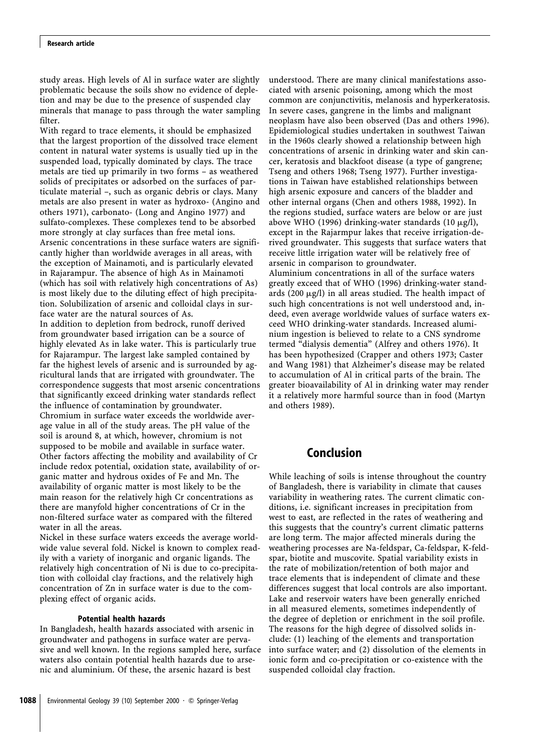study areas. High levels of Al in surface water are slightly problematic because the soils show no evidence of depletion and may be due to the presence of suspended clay minerals that manage to pass through the water sampling filter.

With regard to trace elements, it should be emphasized that the largest proportion of the dissolved trace element content in natural water systems is usually tied up in the suspended load, typically dominated by clays. The trace metals are tied up primarily in two forms – as weathered solids of precipitates or adsorbed on the surfaces of particulate material –, such as organic debris or clays. Many metals are also present in water as hydroxo- (Angino and others 1971), carbonato- (Long and Angino 1977) and sulfato-complexes. These complexes tend to be absorbed more strongly at clay surfaces than free metal ions. Arsenic concentrations in these surface waters are significantly higher than worldwide averages in all areas, with the exception of Mainamoti, and is particularly elevated in Rajarampur. The absence of high As in Mainamoti (which has soil with relatively high concentrations of As) is most likely due to the diluting effect of high precipitation. Solubilization of arsenic and colloidal clays in surface water are the natural sources of As. In addition to depletion from bedrock, runoff derived from groundwater based irrigation can be a source of highly elevated As in lake water. This is particularly true for Rajarampur. The largest lake sampled contained by far the highest levels of arsenic and is surrounded by agricultural lands that are irrigated with groundwater. The correspondence suggests that most arsenic concentrations that significantly exceed drinking water standards reflect the influence of contamination by groundwater. Chromium in surface water exceeds the worldwide average value in all of the study areas. The pH value of the soil is around 8, at which, however, chromium is not supposed to be mobile and available in surface water. Other factors affecting the mobility and availability of Cr include redox potential, oxidation state, availability of organic matter and hydrous oxides of Fe and Mn. The availability of organic matter is most likely to be the main reason for the relatively high Cr concentrations as there are manyfold higher concentrations of Cr in the non-filtered surface water as compared with the filtered water in all the areas.

Nickel in these surface waters exceeds the average worldwide value several fold. Nickel is known to complex readily with a variety of inorganic and organic ligands. The relatively high concentration of Ni is due to co-precipitation with colloidal clay fractions, and the relatively high concentration of Zn in surface water is due to the complexing effect of organic acids.

#### **Potential health hazards**

In Bangladesh, health hazards associated with arsenic in groundwater and pathogens in surface water are pervasive and well known. In the regions sampled here, surface waters also contain potential health hazards due to arsenic and aluminium. Of these, the arsenic hazard is best

understood. There are many clinical manifestations associated with arsenic poisoning, among which the most common are conjunctivitis, melanosis and hyperkeratosis. In severe cases, gangrene in the limbs and malignant neoplasm have also been observed (Das and others 1996). Epidemiological studies undertaken in southwest Taiwan in the 1960s clearly showed a relationship between high concentrations of arsenic in drinking water and skin cancer, keratosis and blackfoot disease (a type of gangrene; Tseng and others 1968; Tseng 1977). Further investigations in Taiwan have established relationships between high arsenic exposure and cancers of the bladder and other internal organs (Chen and others 1988, 1992). In the regions studied, surface waters are below or are just above WHO (1996) drinking-water standards (10  $\mu$ g/l), except in the Rajarmpur lakes that receive irrigation-derived groundwater. This suggests that surface waters that receive little irrigation water will be relatively free of arsenic in comparison to groundwater. Aluminium concentrations in all of the surface waters greatly exceed that of WHO (1996) drinking-water standards (200  $\mu$ g/l) in all areas studied. The health impact of such high concentrations is not well understood and, indeed, even average worldwide values of surface waters exceed WHO drinking-water standards. Increased aluminium ingestion is believed to relate to a CNS syndrome termed "dialysis dementia" (Alfrey and others 1976). It has been hypothesized (Crapper and others 1973; Caster and Wang 1981) that Alzheimer's disease may be related to accumulation of Al in critical parts of the brain. The greater bioavailability of Al in drinking water may render it a relatively more harmful source than in food (Martyn and others 1989).

## **Conclusion**

While leaching of soils is intense throughout the country of Bangladesh, there is variability in climate that causes variability in weathering rates. The current climatic conditions, i.e. significant increases in precipitation from west to east, are reflected in the rates of weathering and this suggests that the country's current climatic patterns are long term. The major affected minerals during the weathering processes are Na-feldspar, Ca-feldspar, K-feldspar, biotite and muscovite. Spatial variability exists in the rate of mobilization/retention of both major and trace elements that is independent of climate and these differences suggest that local controls are also important. Lake and reservoir waters have been generally enriched in all measured elements, sometimes independently of the degree of depletion or enrichment in the soil profile. The reasons for the high degree of dissolved solids include: (1) leaching of the elements and transportation into surface water; and (2) dissolution of the elements in ionic form and co-precipitation or co-existence with the suspended colloidal clay fraction.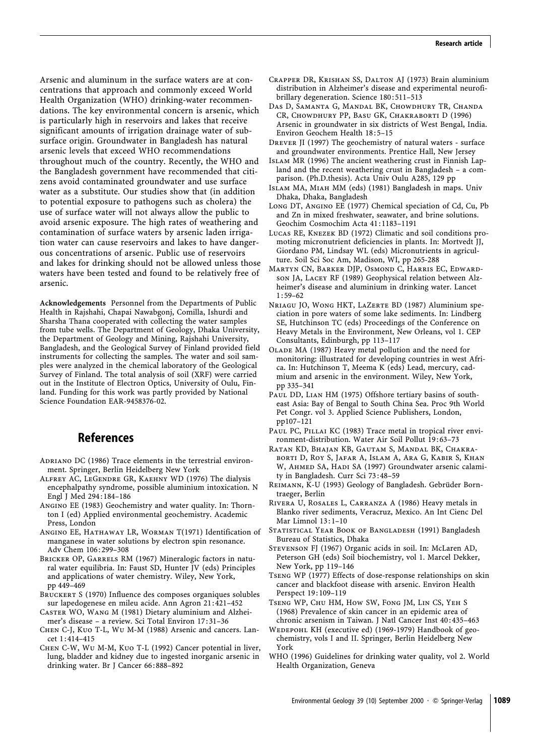Arsenic and aluminum in the surface waters are at concentrations that approach and commonly exceed World Health Organization (WHO) drinking-water recommendations. The key environmental concern is arsenic, which is particularly high in reservoirs and lakes that receive significant amounts of irrigation drainage water of subsurface origin. Groundwater in Bangladesh has natural arsenic levels that exceed WHO recommendations throughout much of the country. Recently, the WHO and the Bangladesh government have recommended that citizens avoid contaminated groundwater and use surface water as a substitute. Our studies show that (in addition to potential exposure to pathogens such as cholera) the use of surface water will not always allow the public to avoid arsenic exposure. The high rates of weathering and contamination of surface waters by arsenic laden irrigation water can cause reservoirs and lakes to have dangerous concentrations of arsenic. Public use of reservoirs and lakes for drinking should not be allowed unless those waters have been tested and found to be relatively free of arsenic.

**Acknowledgements** Personnel from the Departments of Public Health in Rajshahi, Chapai Nawabgonj, Comilla, Ishurdi and Sharsha Thana cooperated with collecting the water samples from tube wells. The Department of Geology, Dhaka University, the Department of Geology and Mining, Rajshahi University, Bangladesh, and the Geological Survey of Finland provided field instruments for collecting the samples. The water and soil samples were analyzed in the chemical laboratory of the Geological Survey of Finland. The total analysis of soil (XRF) were carried out in the Institute of Electron Optics, University of Oulu, Finland. Funding for this work was partly provided by National Science Foundation EAR-9458376-02.

## **References**

- ADRIANO DC (1986) Trace elements in the terrestrial environment. Springer, Berlin Heidelberg New York
- Alfrey AC, LeGendre GR, Kaehny WD (1976) The dialysis encephalpathy syndrome, possible aluminium intoxication. N Engl J Med 294 : 184–186
- Angino EE (1983) Geochemistry and water quality. In: Thornton I (ed) Applied environmental geochemistry. Academic Press, London
- Angino EE, Hathaway LR, Worman T(1971) Identification of manganese in water solutions by electron spin resonance. Adv Chem 106 : 299–308
- Bricker OP, Garrels RM (1967) Mineralogic factors in natural water equilibria. In: Faust SD, Hunter JV (eds) Principles and applications of water chemistry. Wiley, New York, pp 449–469
- Bruckert S (1970) Influence des composes organiques solubles sur lapedogenese en mileu acide. Ann Agron 21 : 421–452
- Caster WO, Wang M (1981) Dietary aluminium and Alzheimer's disease – a review. Sci Total Environ 17 : 31–36
- Chen C-J, Kuo T-L, Wu M-M (1988) Arsenic and cancers. Lancet 1 : 414–415
- Chen C-W, Wu M-M, Kuo T-L (1992) Cancer potential in liver, lung, bladder and kidney due to ingested inorganic arsenic in drinking water. Br J Cancer 66 : 888–892
- Crapper DR, Krishan SS, Dalton AJ (1973) Brain aluminium distribution in Alzheimer's disease and experimental neurofibrillary degeneration. Science 180 : 511–513
- Das D, Samanta G, Mandal BK, Chowdhury TR, Chanda CR, Chowdhury PP, Basu GK, Chakraborti D (1996) Arsenic in groundwater in six districts of West Bengal, India. Environ Geochem Health 18 : 5–15
- Drever JI (1997) The geochemistry of natural waters surface and groundwater environments. Prentice Hall, New Jersey
- Islam MR (1996) The ancient weathering crust in Finnish Lapland and the recent weathering crust in Bangladesh – a comparison. (Ph.D.thesis). Acta Univ Oulu A285, 129 pp
- Islam MA, Miah MM (eds) (1981) Bangladesh in maps. Univ Dhaka, Dhaka, Bangladesh
- Long DT, Angino EE (1977) Chemical speciation of Cd, Cu, Pb and Zn in mixed freshwater, seawater, and brine solutions. Geochim Cosmochim Acta 41 : 1183–1191
- Lucas RE, Knezek BD (1972) Climatic and soil conditions promoting micronutrient deficiencies in plants. In: Mortvedt JJ, Giordano PM, Lindsay WL (eds) Micronutrients in agriculture. Soil Sci Soc Am, Madison, WI, pp 265-288
- Martyn CN, Barker DJP, Osmond C, Harris EC, Edwardson JA, Lacey RF (1989) Geophysical relation between Alzheimer's disease and aluminium in drinking water. Lancet 1: 59–62
- Nriagu JO, Wong HKT, LaZerte BD (1987) Aluminium speciation in pore waters of some lake sediments. In: Lindberg SE, Hutchinson TC (eds) Proceedings of the Conference on Heavy Metals in the Environment, New Orleans, vol 1. CEP Consultants, Edinburgh, pp 113–117
- Olade MA (1987) Heavy metal pollution and the need for monitoring: illustrated for developing countries in west Africa. In: Hutchinson T, Meema K (eds) Lead, mercury, cadmium and arsenic in the environment. Wiley, New York, pp 335–341
- PAUL DD, LIAN HM (1975) Offshore tertiary basins of southeast Asia: Bay of Bengal to South China Sea. Proc 9th World Pet Congr. vol 3. Applied Science Publishers, London, pp107–121
- PAUL PC, PILLAI KC (1983) Trace metal in tropical river environment-distribution. Water Air Soil Pollut 19 : 63–73
- Ratan KD, Bhajan KB, Gautam S, Mandal BK, Chakraborti D, Roy S, Jafar A, Islam A, Ara G, Kabir S, Khan W, AHMED SA, HADI SA (1997) Groundwater arsenic calamity in Bangladesh. Curr Sci 73 : 48–59
- Reimann, K-U (1993) Geology of Bangladesh. Gebrüder Borntraeger, Berlin
- Rivera U, Rosales L, Carranza A (1986) Heavy metals in Blanko river sediments, Veracruz, Mexico. An Int Cienc Del Mar Limnol 13 : 1–10
- STATISTICAL YEAR BOOK OF BANGLADESH (1991) Bangladesh Bureau of Statistics, Dhaka
- Stevenson FJ (1967) Organic acids in soil. In: McLaren AD, Peterson GH (eds) Soil biochemistry, vol 1. Marcel Dekker, New York, pp 119–146
- Tseng WP (1977) Effects of dose-response relationships on skin cancer and blackfoot disease with arsenic. Environ Health Perspect 19 : 109–119
- Tseng WP, Chu HM, How SW, Fong JM, Lin CS, Yeh S (1968) Prevalence of skin cancer in an epidemic area of chronic arsenism in Taiwan. J Natl Cancer Inst 40 : 435–463
- WEDEPOHL KH (executive ed) (1969-1979) Handbook of geochemistry, vols I and II. Springer, Berlin Heidelberg New York
- WHO (1996) Guidelines for drinking water quality, vol 2. World Health Organization, Geneva